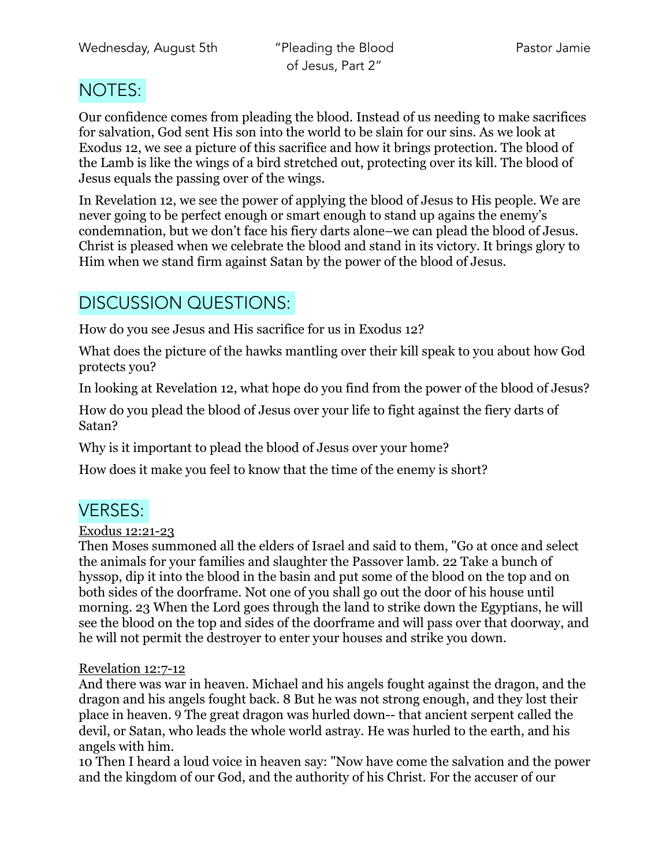## NOTES:

Our confidence comes from pleading the blood. Instead of us needing to make sacrifices for salvation, God sent His son into the world to be slain for our sins. As we look at Exodus 12, we see a picture of this sacrifice and how it brings protection. The blood of the Lamb is like the wings of a bird stretched out, protecting over its kill. The blood of Jesus equals the passing over of the wings.

In Revelation 12, we see the power of applying the blood of Jesus to His people. We are never going to be perfect enough or smart enough to stand up agains the enemy's condemnation, but we don't face his fiery darts alone–we can plead the blood of Jesus. Christ is pleased when we celebrate the blood and stand in its victory. It brings glory to Him when we stand firm against Satan by the power of the blood of Jesus.

# DISCUSSION QUESTIONS:

How do you see Jesus and His sacrifice for us in Exodus 12?

What does the picture of the hawks mantling over their kill speak to you about how God protects you?

In looking at Revelation 12, what hope do you find from the power of the blood of Jesus?

How do you plead the blood of Jesus over your life to fight against the fiery darts of Satan?

Why is it important to plead the blood of Jesus over your home?

How does it make you feel to know that the time of the enemy is short?

# VERSES:

### Exodus 12:21-23

Then Moses summoned all the elders of Israel and said to them, "Go at once and select the animals for your families and slaughter the Passover lamb. 22 Take a bunch of hyssop, dip it into the blood in the basin and put some of the blood on the top and on both sides of the doorframe. Not one of you shall go out the door of his house until morning. 23 When the Lord goes through the land to strike down the Egyptians, he will see the blood on the top and sides of the doorframe and will pass over that doorway, and he will not permit the destroyer to enter your houses and strike you down.

### Revelation 12:7-12

And there was war in heaven. Michael and his angels fought against the dragon, and the dragon and his angels fought back. 8 But he was not strong enough, and they lost their place in heaven. 9 The great dragon was hurled down-- that ancient serpent called the devil, or Satan, who leads the whole world astray. He was hurled to the earth, and his angels with him.

10 Then I heard a loud voice in heaven say: "Now have come the salvation and the power and the kingdom of our God, and the authority of his Christ. For the accuser of our